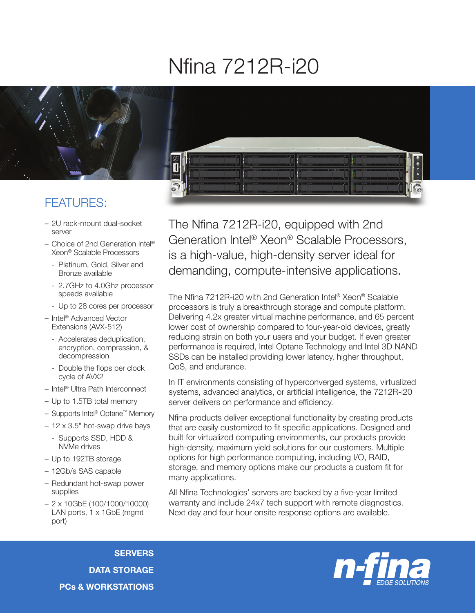## Nfina 7212R-i20



## FEATURES:

- 2U rack-mount dual-socket server
- Choice of 2nd Generation Intel® Xeon® Scalable Processors
	- Platinum, Gold, Silver and Bronze available
	- 2.7GHz to 4.0Ghz processor speeds available
	- Up to 28 cores per processor
- Intel® Advanced Vector Extensions (AVX-512)
	- Accelerates deduplication, encryption, compression, & decompression
	- Double the flops per clock cycle of AVX2
- Intel® Ultra Path Interconnect
- Up to 1.5TB total memory
- Supports Intel® Optane™ Memory
- 12 x 3.5" hot-swap drive bays
	- Supports SSD, HDD & NVMe drives
- Up to 192TB storage
- 12Gb/s SAS capable
- Redundant hot-swap power supplies
- 2 x 10GbE (100/1000/10000) LAN ports, 1 x 1GbE (mgmt) port)

The Nfina 7212R-i20, equipped with 2nd Generation Intel® Xeon® Scalable Processors, is a high-value, high-density server ideal for demanding, compute-intensive applications.

The Nfina 7212R-i20 with 2nd Generation Intel® Xeon® Scalable processors is truly a breakthrough storage and compute platform. Delivering 4.2x greater virtual machine performance, and 65 percent lower cost of ownership compared to four-year-old devices, greatly reducing strain on both your users and your budget. If even greater performance is required, Intel Optane Technology and Intel 3D NAND SSDs can be installed providing lower latency, higher throughput, QoS, and endurance.

In IT environments consisting of hyperconverged systems, virtualized systems, advanced analytics, or artificial intelligence, the 7212R-i20 server delivers on performance and efficiency.

Nfina products deliver exceptional functionality by creating products that are easily customized to fit specific applications. Designed and built for virtualized computing environments, our products provide high-density, maximum yield solutions for our customers. Multiple options for high performance computing, including I/O, RAID, storage, and memory options make our products a custom fit for many applications.

All Nfina Technologies' servers are backed by a five-year limited warranty and include 24x7 tech support with remote diagnostics. Next day and four hour onsite response options are available.

**SERVERS** DATA STORAGE PCs & WORKSTATIONS

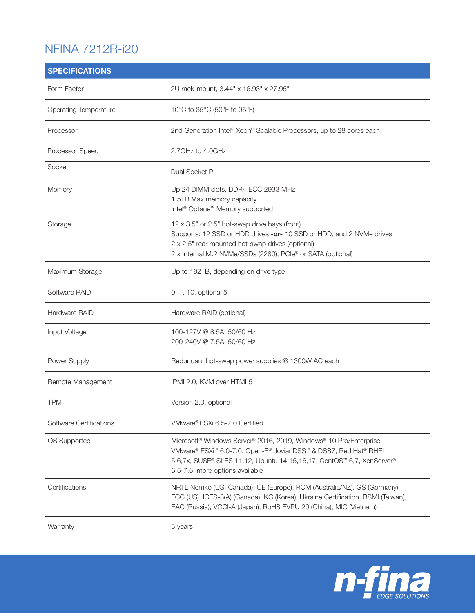## NFINA 7212R-i20

| <b>SPECIFICATIONS</b>        |                                                                                                                                                                                                                                                                                       |
|------------------------------|---------------------------------------------------------------------------------------------------------------------------------------------------------------------------------------------------------------------------------------------------------------------------------------|
| Form Factor                  | 2U rack-mount, 3.44" x 16.93" x 27.95"                                                                                                                                                                                                                                                |
| <b>Operating Temperature</b> | 10°C to 35°C (50°F to 95°F)                                                                                                                                                                                                                                                           |
| Processor                    | 2nd Generation Intel® Xeon® Scalable Processors, up to 28 cores each                                                                                                                                                                                                                  |
| Processor Speed              | 2.7GHz to 4.0GHz                                                                                                                                                                                                                                                                      |
| Socket                       | Dual Socket P                                                                                                                                                                                                                                                                         |
| Memory                       | Up 24 DIMM slots, DDR4 ECC 2933 MHz<br>1.5TB Max memory capacity<br>Intel <sup>®</sup> Optane <sup>™</sup> Memory supported                                                                                                                                                           |
| Storage                      | 12 x 3.5" or 2.5" hot-swap drive bays (front)<br>Supports: 12 SSD or HDD drives -or- 10 SSD or HDD, and 2 NVMe drives<br>2 x 2.5" rear mounted hot-swap drives (optional)<br>2 x Internal M.2 NVMe/SSDs (2280), PCIe® or SATA (optional)                                              |
| Maximum Storage              | Up to 192TB, depending on drive type                                                                                                                                                                                                                                                  |
| Software RAID                | 0, 1, 10, optional 5                                                                                                                                                                                                                                                                  |
| Hardware RAID                | Hardware RAID (optional)                                                                                                                                                                                                                                                              |
| Input Voltage                | 100-127V @ 8.5A, 50/60 Hz<br>200-240V @ 7.5A, 50/60 Hz                                                                                                                                                                                                                                |
| Power Supply                 | Redundant hot-swap power supplies @ 1300W AC each                                                                                                                                                                                                                                     |
| Remote Management            | IPMI 2.0, KVM over HTML5                                                                                                                                                                                                                                                              |
| <b>TPM</b>                   | Version 2.0, optional                                                                                                                                                                                                                                                                 |
| Software Certifications      | VMware® ESXi 6.5-7.0 Certified                                                                                                                                                                                                                                                        |
| OS Supported                 | Microsoft <sup>®</sup> Windows Server <sup>®</sup> 2016, 2019, Windows <sup>®</sup> 10 Pro/Enterprise,<br>VMware® ESXi™ 6.0-7.0, Open-E® JovianDSS™ & DSS7, Red Hat® RHEL<br>5,6,7x, SUSE® SLES 11,12, Ubuntu 14,15,16,17, CentOS™ 6,7, XenServer®<br>6.5-7.6, more options available |
| Certifications               | NRTL Nemko (US, Canada), CE (Europe), RCM (Australia/NZ), GS (Germany),<br>FCC (US), ICES-3(A) (Canada), KC (Korea), Ukraine Certification, BSMI (Taiwan),<br>EAC (Russia), VCCI-A (Japan), RoHS EVPU 20 (China), MIC (Vietnam)                                                       |
| Warranty                     | 5 years                                                                                                                                                                                                                                                                               |